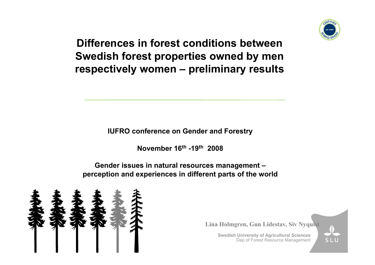

# **Differences in forest conditions between Swedish forest properties owned by men respectively women – preliminary results**

**IUFRO conference on Gender and Forestry** 

**November 16th -19th 2008** 

**Gender issues in natural resources management – perception and experiences in different parts of the w orld**



**Lina Holmgren, Gun Lidestav, Siv Nyquist** 

**Swedish University of Agricultural Sciences** Dep of Forest Resource Management

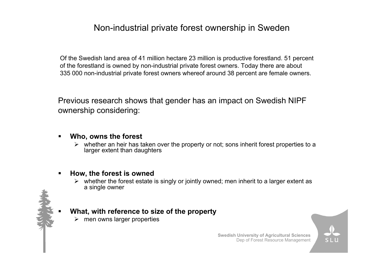## Non-industrial private forest ownership in Sweden

Of the Swedish land area of 41 million hectare 23 million is productive forestland. 51 percent of the forestland is owned by non-industrial private forest owners. Today there are about 335 000 non-industrial private forest owners whereof around 38 percent are female owners.

Previous research shows that gender has an impact on Swedish NIPF ownership considering:

#### $\blacksquare$ **Who, owns the forest**

 $\triangleright$  whether an heir has taken over the property or not; sons inherit forest properties to a larger extent than daughters

#### $\blacksquare$ **How, the forest is owned**

 $\triangleright$  whether the forest estate is singly or jointly owned; men inherit to a larger extent as a single owner

## **What, with refer ence to size of t he property**

 $\triangleright$  men owns larger properties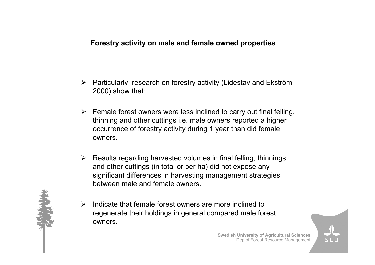## **Forestry activity on male and female owned properties**

- ¾ Particularly, research on forestr y activity (Lidestav and Ekström 2000) show that:
- $\triangleright$  Female forest owners were less inclined to carry out final felling, thinning and other cuttings i.e. male owners reported a higher occurrence of forestry activity during 1 year than did female owners.
- ¾ Results regarding harvested volumes in final felling, thinnings and other cuttings (in total or per ha) did not expose any significant differences in harvesting management strategies between male and female owners.
- $\blacktriangleright$  $\triangleright$  Indicate that female forest owners are more inclined to regenerate their holdings in general compared male forest owners.

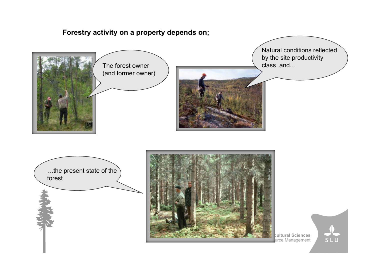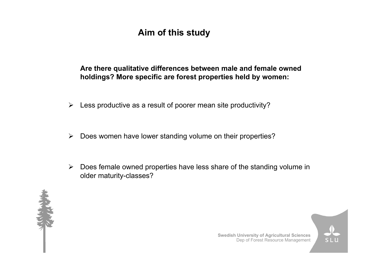# **Aim of this study**

## Are there qualitative differences between male and female owned **holdings? More specific are forest properties held by women:**

- $\blacktriangleright$ Less productive as a result of poorer mean site productivity?
- $\blacktriangleright$ Does women have lower standing volume on their properties?
- $\blacktriangleright$  Does female owned properties have less share of the standing volume in older maturity-classes?





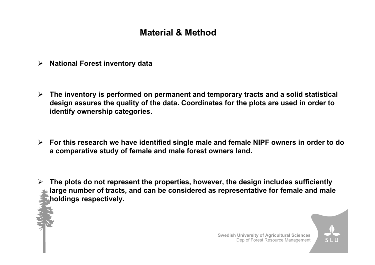# **Material & Method**

- ¾**National Forest inventory data**
- $\blacktriangleright$  **The inventory is performed on permanent and temporary tracts and a solid statistical design assures the quality of the data. Coordinates for the plots are used in order to identify ownership categories.**
- ¾ **For this research we have identified single male and female NIPF owners in order to do a comparative study of female and male forest owners land.**
- ¾ **The plots do not represent the properties, however, the design includes sufficiently large number of tracts, and can be considered as representative for female and male holdings respectively.**

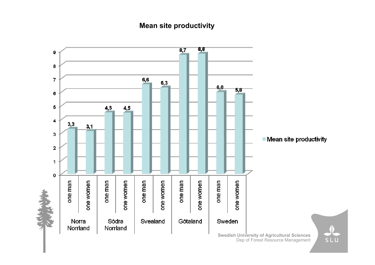## **Mean site productivity**



Dep of Forest Resource Management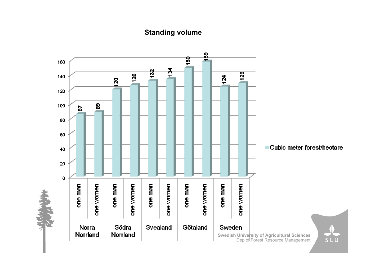## **Standing volume**

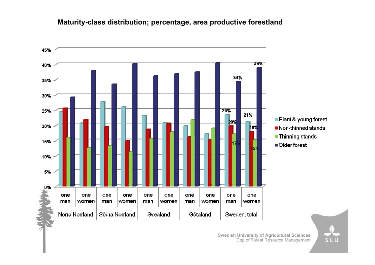### **Maturity-class distribution; percentage, area productive forestland**



**SL**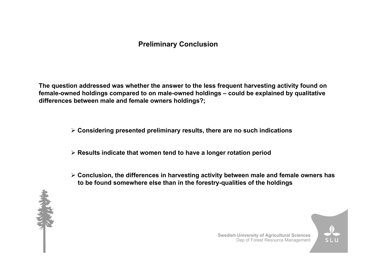## **Preliminary Conclusion**

**The question addressed was whether the answer to the less frequent harvesting activity found on female-owned holdings compared to on male-owned holdings – could be explained by qualitative differences between male and female owners holdings?;**

¾ **Considering presented preliminary results, there are no such indications**

¾ **Results indicate that women tend to have a longer rotation period**

¾ **Conclusion, the differences in harvesting activity between male and female owners has to be found somewhere else than in the forestry-qualities of the holdings**



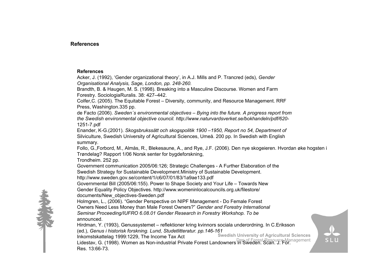### **References**

#### **References**

Acker, J. (1992), 'Gender organizational theory', in A.J. Mills and P. Trancred (eds), *Gender Organisational Analysis, Sage, London, pp. 248-260.*

Brandth, B. & Haugen, M. S. (1998). Breaking into a Masculine Discourse. Women and Farm Forestry. SociologiaRuralis. 38: 427–442.

Colfer,C. (2005). The Equitable Forest – Diversity, community, and Resource Management. RRF Press, Washington.335 pp.

de Facto (2006). *Sweden´s environ mental obje ctives –Bying into the future. A pro gress report from the Swedish environmental objective council. http://www.naturvardsverket.se/bokhandeln/pdf/620-* 1251-7.pdf

Enander, K-G.(2001). *Skogsbrukssätt och skogspolitik 1900 –1950, Rep ort no 54, Department of* Sil viculture, Swedish University of Agricultural Sciences, Umeå. 200 pp. In Swedish with English s ummary.

Follo, G.,Forbord, M., Almås, R., Blekesaune, A., and Rye, J.F. (2006). Den nye skogeieren. Hvordan øke hogsten i Trøndelag? Rapport 1/0 6 Norsk senter for bygdeforskning,

Trondheim. 252 pp.

Government communication 2005/06:126; Strategic Challenges - A Further Elaboration of the

Swedish Str ategy for Sustainable Development. Ministry of Sustainable Development.

http://www.sweden.gov.se/content/1/c6/07/01/83/1a9ae133.p df

Governmental Bill (2005/06:155). Power to Shape Society and Your Life – Towards Ne wGender Equ ality Policy Objectives. http://www.wo meninlocalcouncils.org.uk/filestore/ documents/New\_objectives-Sweden.pdf

Holmgren, L., (2006). " Gender Persp ective on NIPF Management - Do Female Forest Owners Need Less Money than Male Forest Owners?" *Gender and Forestry International Seminar Proceeding/IUF RO 6.08.01 Gender Research in Forestry Workshop. To be* announced.

Hirdman, Y. (1993), Gen ussystemet – reflektioner kring kvinnors sociala underordning. In C.Eriksson (ed.), *Genus i historisk forskning. Lund, Studetlitteratur. pp.14 6-161*

**Swedish University of Agricultural Sciences** Dep of Forest Resource Management Lidestav, G. (1998). Women as Non-industrial Private Forest Landowners in Sweden. Scan. J. For. Inkomstskattelag 1999:1229, The Income Tax Act Res. 13:66-73.